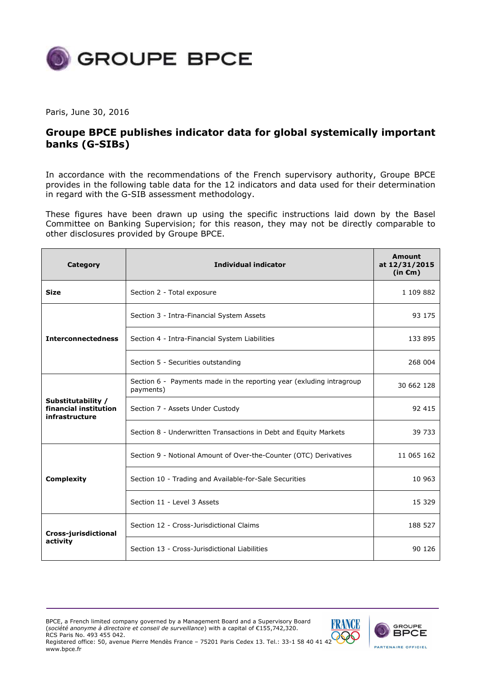

Paris, June 30, 2016

## **Groupe BPCE publishes indicator data for global systemically important banks (G-SIBs)**

In accordance with the recommendations of the French supervisory authority, Groupe BPCE provides in the following table data for the 12 indicators and data used for their determination in regard with the G-SIB assessment methodology.

These figures have been drawn up using the specific instructions laid down by the Basel Committee on Banking Supervision; for this reason, they may not be directly comparable to other disclosures provided by Groupe BPCE.

| Category                                                      | <b>Individual indicator</b>                                                       | Amount<br>at 12/31/2015<br>$(in \mathbf{\epsilon}m)$ |
|---------------------------------------------------------------|-----------------------------------------------------------------------------------|------------------------------------------------------|
| <b>Size</b>                                                   | Section 2 - Total exposure                                                        | 1 109 882                                            |
| <b>Interconnectedness</b>                                     | Section 3 - Intra-Financial System Assets                                         | 93 175                                               |
|                                                               | Section 4 - Intra-Financial System Liabilities                                    | 133 895                                              |
|                                                               | Section 5 - Securities outstanding                                                | 268 004                                              |
| Substitutability /<br>financial institution<br>infrastructure | Section 6 - Payments made in the reporting year (exluding intragroup<br>payments) | 30 662 128                                           |
|                                                               | Section 7 - Assets Under Custody                                                  | 92 415                                               |
|                                                               | Section 8 - Underwritten Transactions in Debt and Equity Markets                  | 39 733                                               |
|                                                               | Section 9 - Notional Amount of Over-the-Counter (OTC) Derivatives                 | 11 065 162                                           |
| <b>Complexity</b>                                             | Section 10 - Trading and Available-for-Sale Securities                            | 10 963                                               |
|                                                               | Section 11 - Level 3 Assets                                                       | 15 3 29                                              |
| Cross-jurisdictional<br>activity                              | Section 12 - Cross-Jurisdictional Claims                                          | 188 527                                              |
|                                                               | Section 13 - Cross-Jurisdictional Liabilities                                     | 90 126                                               |

BPCE, a French limited company governed by a Management Board and a Supervisory Board (*société anonyme à directoire et conseil de surveillance*) with a capital of €155,742,320. RCS Paris No. 493 455 042.

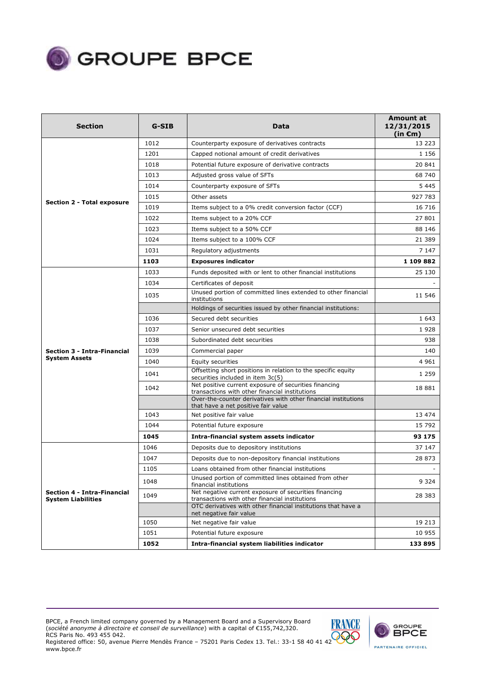

| <b>Section</b>                                                  | G-SIB | Data                                                                                                                                                                      | Amount at<br>12/31/2015<br>(in $\epsilon$ m) |
|-----------------------------------------------------------------|-------|---------------------------------------------------------------------------------------------------------------------------------------------------------------------------|----------------------------------------------|
|                                                                 | 1012  | Counterparty exposure of derivatives contracts                                                                                                                            | 13 223                                       |
|                                                                 | 1201  | Capped notional amount of credit derivatives                                                                                                                              | 1 1 5 6                                      |
|                                                                 | 1018  | Potential future exposure of derivative contracts                                                                                                                         | 20841                                        |
|                                                                 | 1013  | Adjusted gross value of SFTs                                                                                                                                              | 68 740                                       |
|                                                                 | 1014  | Counterparty exposure of SFTs                                                                                                                                             | 5 4 4 5                                      |
|                                                                 | 1015  | Other assets                                                                                                                                                              | 927 783                                      |
| <b>Section 2 - Total exposure</b>                               | 1019  | Items subject to a 0% credit conversion factor (CCF)                                                                                                                      | 16 7 16                                      |
|                                                                 | 1022  | Items subject to a 20% CCF                                                                                                                                                | 27801                                        |
|                                                                 | 1023  | Items subject to a 50% CCF                                                                                                                                                | 88 146                                       |
|                                                                 | 1024  | Items subject to a 100% CCF                                                                                                                                               | 21 389                                       |
|                                                                 | 1031  | Regulatory adjustments                                                                                                                                                    | 7 147                                        |
|                                                                 | 1103  | <b>Exposures indicator</b>                                                                                                                                                | 1 109 882                                    |
|                                                                 | 1033  | Funds deposited with or lent to other financial institutions                                                                                                              | 25 130                                       |
|                                                                 | 1034  | Certificates of deposit                                                                                                                                                   |                                              |
|                                                                 | 1035  | Unused portion of committed lines extended to other financial<br>institutions                                                                                             | 11 546                                       |
|                                                                 |       | Holdings of securities issued by other financial institutions:                                                                                                            |                                              |
|                                                                 | 1036  | Secured debt securities                                                                                                                                                   | 1 6 4 3                                      |
|                                                                 | 1037  | Senior unsecured debt securities                                                                                                                                          | 1928                                         |
|                                                                 | 1038  | Subordinated debt securities                                                                                                                                              | 938                                          |
| <b>Section 3 - Intra-Financial</b>                              | 1039  | Commercial paper                                                                                                                                                          | 140                                          |
| <b>System Assets</b>                                            | 1040  | Equity securities                                                                                                                                                         | 4 9 6 1                                      |
|                                                                 | 1041  | Offsetting short positions in relation to the specific equity<br>securities included in item 3c(5)                                                                        | 1 2 5 9                                      |
|                                                                 | 1042  | Net positive current exposure of securities financing<br>transactions with other financial institutions<br>Over-the-counter derivatives with other financial institutions | 18 881                                       |
|                                                                 |       | that have a net positive fair value                                                                                                                                       |                                              |
|                                                                 | 1043  | Net positive fair value                                                                                                                                                   | 13 474                                       |
|                                                                 | 1044  | Potential future exposure                                                                                                                                                 | 15 792                                       |
|                                                                 | 1045  | Intra-financial system assets indicator                                                                                                                                   | 93 175                                       |
|                                                                 | 1046  | Deposits due to depository institutions                                                                                                                                   | 37 147                                       |
|                                                                 | 1047  | Deposits due to non-depository financial institutions                                                                                                                     | 28 873                                       |
|                                                                 | 1105  | Loans obtained from other financial institutions                                                                                                                          |                                              |
|                                                                 | 1048  | Unused portion of committed lines obtained from other<br>financial institutions                                                                                           | 9 3 2 4                                      |
| <b>Section 4 - Intra-Financial</b><br><b>System Liabilities</b> | 1049  | Net negative current exposure of securities financing<br>transactions with other financial institutions                                                                   | 28 383                                       |
|                                                                 |       | OTC derivatives with other financial institutions that have a<br>net negative fair value                                                                                  |                                              |
|                                                                 | 1050  | Net negative fair value                                                                                                                                                   | 19 213                                       |
|                                                                 | 1051  | Potential future exposure                                                                                                                                                 | 10 955                                       |
|                                                                 | 1052  | Intra-financial system liabilities indicator                                                                                                                              | 133 895                                      |





Registered office: 50, avenue Pierre Mendès France – 75201 Paris Cedex 13. Tel.: 33-1 58 40 41 42 www.bpce.fr